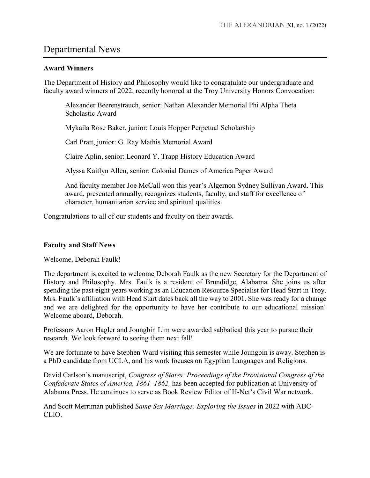## Departmental News

## **Award Winners**

The Department of History and Philosophy would like to congratulate our undergraduate and faculty award winners of 2022, recently honored at the Troy University Honors Convocation:

Alexander Beerenstrauch, senior: Nathan Alexander Memorial Phi Alpha Theta Scholastic Award

Mykaila Rose Baker, junior: Louis Hopper Perpetual Scholarship

Carl Pratt, junior: G. Ray Mathis Memorial Award

Claire Aplin, senior: Leonard Y. Trapp History Education Award

Alyssa Kaitlyn Allen, senior: Colonial Dames of America Paper Award

And faculty member Joe McCall won this year's Algernon Sydney Sullivan Award. This award, presented annually, recognizes students, faculty, and staff for excellence of character, humanitarian service and spiritual qualities.

Congratulations to all of our students and faculty on their awards.

## **Faculty and Staff News**

Welcome, Deborah Faulk!

The department is excited to welcome Deborah Faulk as the new Secretary for the Department of History and Philosophy. Mrs. Faulk is a resident of Brundidge, Alabama. She joins us after spending the past eight years working as an Education Resource Specialist for Head Start in Troy. Mrs. Faulk's affiliation with Head Start dates back all the way to 2001. She was ready for a change and we are delighted for the opportunity to have her contribute to our educational mission! Welcome aboard, Deborah.

Professors Aaron Hagler and Joungbin Lim were awarded sabbatical this year to pursue their research. We look forward to seeing them next fall!

We are fortunate to have Stephen Ward visiting this semester while Joungbin is away. Stephen is a PhD candidate from UCLA, and his work focuses on Egyptian Languages and Religions.

David Carlson's manuscript, *Congress of States: Proceedings of the Provisional Congress of the Confederate States of America, 1861–1862,* has been accepted for publication at University of Alabama Press. He continues to serve as Book Review Editor of H-Net's Civil War network.

And Scott Merriman published *Same Sex Marriage: Exploring the Issues* in 2022 with ABC-CLIO.